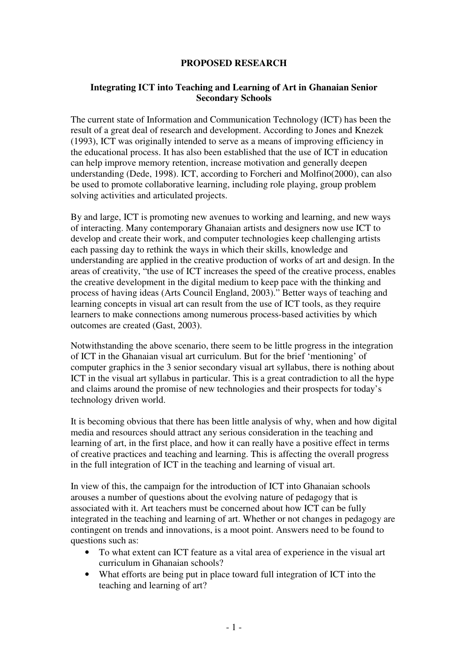## **PROPOSED RESEARCH**

## **Integrating ICT into Teaching and Learning of Art in Ghanaian Senior Secondary Schools**

The current state of Information and Communication Technology (ICT) has been the result of a great deal of research and development. According to Jones and Knezek (1993), ICT was originally intended to serve as a means of improving efficiency in the educational process. It has also been established that the use of ICT in education can help improve memory retention, increase motivation and generally deepen understanding (Dede, 1998). ICT, according to Forcheri and Molfino(2000), can also be used to promote collaborative learning, including role playing, group problem solving activities and articulated projects.

By and large, ICT is promoting new avenues to working and learning, and new ways of interacting. Many contemporary Ghanaian artists and designers now use ICT to develop and create their work, and computer technologies keep challenging artists each passing day to rethink the ways in which their skills, knowledge and understanding are applied in the creative production of works of art and design. In the areas of creativity, "the use of ICT increases the speed of the creative process, enables the creative development in the digital medium to keep pace with the thinking and process of having ideas (Arts Council England, 2003)." Better ways of teaching and learning concepts in visual art can result from the use of ICT tools, as they require learners to make connections among numerous process-based activities by which outcomes are created (Gast, 2003).

Notwithstanding the above scenario, there seem to be little progress in the integration of ICT in the Ghanaian visual art curriculum. But for the brief 'mentioning' of computer graphics in the 3 senior secondary visual art syllabus, there is nothing about ICT in the visual art syllabus in particular. This is a great contradiction to all the hype and claims around the promise of new technologies and their prospects for today's technology driven world.

It is becoming obvious that there has been little analysis of why, when and how digital media and resources should attract any serious consideration in the teaching and learning of art, in the first place, and how it can really have a positive effect in terms of creative practices and teaching and learning. This is affecting the overall progress in the full integration of ICT in the teaching and learning of visual art.

In view of this, the campaign for the introduction of ICT into Ghanaian schools arouses a number of questions about the evolving nature of pedagogy that is associated with it. Art teachers must be concerned about how ICT can be fully integrated in the teaching and learning of art. Whether or not changes in pedagogy are contingent on trends and innovations, is a moot point. Answers need to be found to questions such as:

- To what extent can ICT feature as a vital area of experience in the visual art curriculum in Ghanaian schools?
- What efforts are being put in place toward full integration of ICT into the teaching and learning of art?